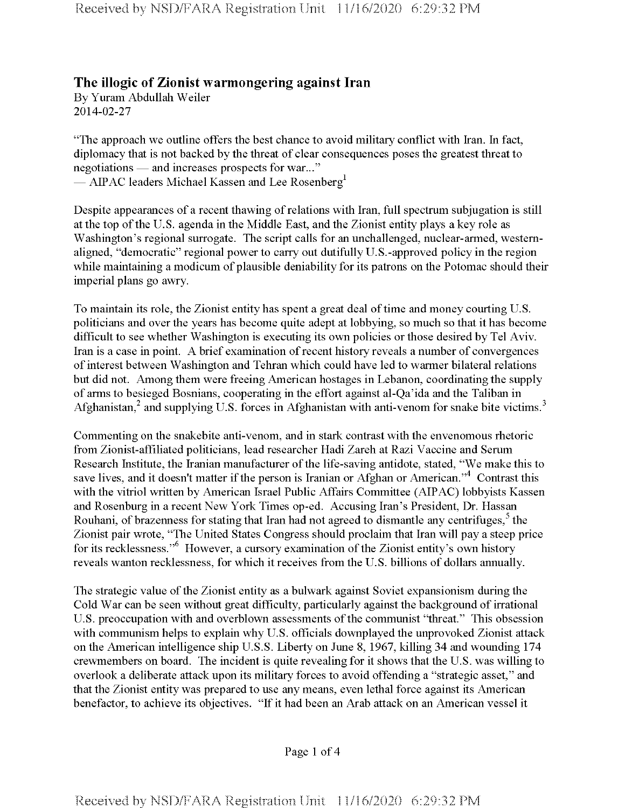## **The illogic of Zionist warmongering against Iran**

By Yuram Abdullah Weiler 2014-02-27

"The approach we outline offers the best chance to avoid military conflict with Iran. In fact, diplomacy that is not backed by the threat of clear consequences poses the greatest threat to negotiations — and increases prospects for war..." — AIPAC leaders Michael Kassen and Lee Rosenberg<sup>1</sup>

Despite appearances of a recent thawing of relations with Iran, full spectrum subjugation is still at the top of the U.S. agenda in the Middle East, and the Zionist entity plays a key role as Washington's regional surrogate. The script calls for an unchallenged, nuclear-armed, westernaligned, "democratic" regional power to carry out dutifully U.S.-approved policy in the region while maintaining a modicum of plausible deniability for its patrons on the Potomac should their imperial plans go awry.

To maintain its role, the Zionist entity has spent a great deal of time and money courting U.S. politicians and over the years has become quite adept at lobbying, so much so that it has become difficult to see whether Washington is executing its own policies or those desired by Tel Aviv. Iran is a case in point. A brief examination of recent history reveals a number of convergences of interest between Washington and Tehran which could have led to warmer bilateral relations but did not. Among them were freeing American hostages in Lebanon, coordinating the supply of arms to besieged Bosnians, cooperating in the effort against al-Qa'ida and the Taliban in Afghanistan, $2$  and supplying U.S. forces in Afghanistan with anti-venom for snake bite victims.<sup>3</sup>

Commenting on the snakebite anti-venom, and in stark contrast with the envenomous rhetoric from Zionist-affiliated politicians, lead researcher Hadi Zareh at Razi Vaccine and Serum Research Institute, the Iranian manufacturer of the life-saving antidote, stated, "We make this to save lives, and it doesn't matter if the person is Iranian or Afghan or American."<sup>4</sup> Contrast this with the vitriol written by American Israel Public Affairs Committee (AIPAC) lobbyists Kassen and Rosenburg in a recent New York Times op-ed. Accusing Iran's President, Dr. Hassan Rouhani, of brazenness for stating that Iran had not agreed to dismantle any centrifuges,<sup>5</sup> the Zionist pair wrote, "The United States Congress should proclaim that Iran will pay a steep price for its recklessness."<sup>6</sup> However, a cursory examination of the Zionist entity's own history reveals wanton recklessness, for which it receives from the U.S. billions of dollars annually.

The strategic value of the Zionist entity as a bulwark against Soviet expansionism during the Cold War can be seen without great difficulty, particularly against the background of irrational U.S. preoccupation with and overblown assessments of the communist "threat." This obsession with communism helps to explain why U.S. officials downplayed the unprovoked Zionist attack on the American intelligence ship U.S.S. Liberty on June 8, 1967, killing 34 and wounding 174 crewmembers on board. The incident is quite revealing for it shows that the U.S. was willing to overlook a deliberate attack upon its military forces to avoid offending a "strategic asset," and that the Zionist entity was prepared to use any means, even lethal force against its American benefactor, to achieve its objectives. "If it had been an Arab attack on an American vessel it

Page <sup>1</sup> of 4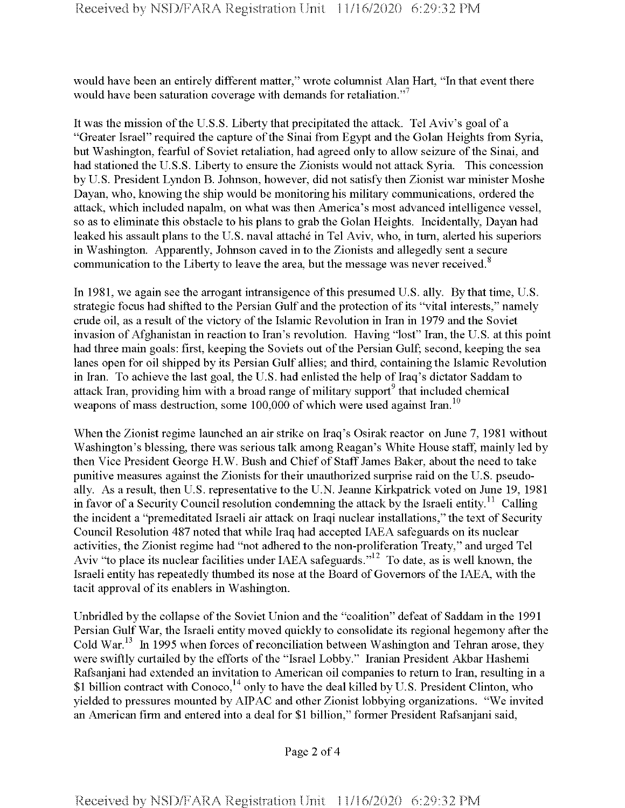would have been an entirely different matter," wrote columnist Alan Hart, "In that event there would have been saturation coverage with demands for retaliation."<sup>7</sup>

It was the mission ofthe U.S.S. Liberty that precipitated the attack. Tel Aviv's goal of a "Greater Israel" required the capture of the Sinai from Egypt and the Golan Heights from Syria, but Washington, fearful of Soviet retaliation, had agreed only to allow seizure of the Sinai, and had stationed the U.S.S. Liberty to ensure the Zionists would not attack Syria. This concession by U. S. President Lyndon B. Johnson, however, did not satisfy then Zionist war minister Moshe Dayan, who, knowing the ship would be monitoring his military communications, ordered the attack, which included napalm, on what was then America's most advanced intelligence vessel, so as to eliminate this obstacle to his plans to grab the Golan Heights. Incidentally, Dayan had leaked his assault plans to the U.S. naval attaché in Tel Aviv, who, in turn, alerted his superiors in Washington. Apparently, Johnson caved in to the Zionists and allegedly sent a secure communication to the Liberty to leave the area, but the message was never received.<sup>8</sup>

In 1981, we again see the arrogant intransigence of this presumed U.S. ally. By that time, U.S. strategic focus had shifted to the Persian Gulf and the protection of its "vital interests," namely crude oil, as a result of the victory of the Islamic Revolution in Iran in 1979 and the Soviet invasion of Afghanistan in reaction to Iran's revolution. Having "lost" Iran, the U.S. at this point had three main goals: first, keeping the Soviets out of the Persian Gulf; second, keeping the sea lanes open for oil shipped by its Persian Gulf allies; and third, containing the Islamic Revolution in Iran. To achieve the last goal, the U.S. had enlisted the help of Iraq's dictator Saddam to attack Iran, providing him with a broad range of military support<sup>9</sup> that included chemical weapons of mass destruction, some 100,000 of which were used against Iran.<sup>10</sup>

When the Zionist regime launched an air strike on Iraq's Osirak reactor on June 7, 1981 without Washington's blessing, there was serious talk among Reagan's White House staff, mainly led by then Vice President George H.W. Bush and Chief of Staff James Baker, about the need to take punitive measures against the Zionists for their unauthorized surprise raid on the U.S. pseudoally. As a result, then U.S. representative to the U.N. Jeanne Kirkpatrick voted on June 19, 1981 in favor of a Security Council resolution condemning the attack by the Israeli entity.<sup>11</sup> Calling the incident a "premeditated Israeli air attack on Iraqi nuclear installations," the text of Security Council Resolution 487 noted that while Iraq had accepted IAEA safeguards on its nuclear activities, the Zionist regime had "not adhered to the non-proliferation Treaty," and urged Tel Aviv "to place its nuclear facilities under IAEA safeguards."<sup>12</sup> To date, as is well known, the Israeli entity has repeatedly thumbed its nose at the Board of Governors of the IAEA, with the tacit approval of its enablers in Washington.

Unbridled by the collapse of the Soviet Union and the "coalition" defeat of Saddam in the 1991 Persian Gulf War, the Israeli entity moved quickly to consolidate its regional hegemony after the Cold War.<sup>13</sup> In 1995 when forces of reconciliation between Washington and Tehran arose, they were swiftly curtailed by the efforts of the "Israel Lobby." Iranian President Akbar Hashemi Rafsanjani had extended an invitation to American oil companies to return to Iran, resulting in a \$1 billion contract with Conoco,<sup>14</sup> only to have the deal killed by U.S. President Clinton, who yielded to pressures mounted by AIPAC and other Zionist lobbying organizations. "We invited an American firm and entered into a deal for \$1 billion," former President Rafsanjani said,

Page 2 of 4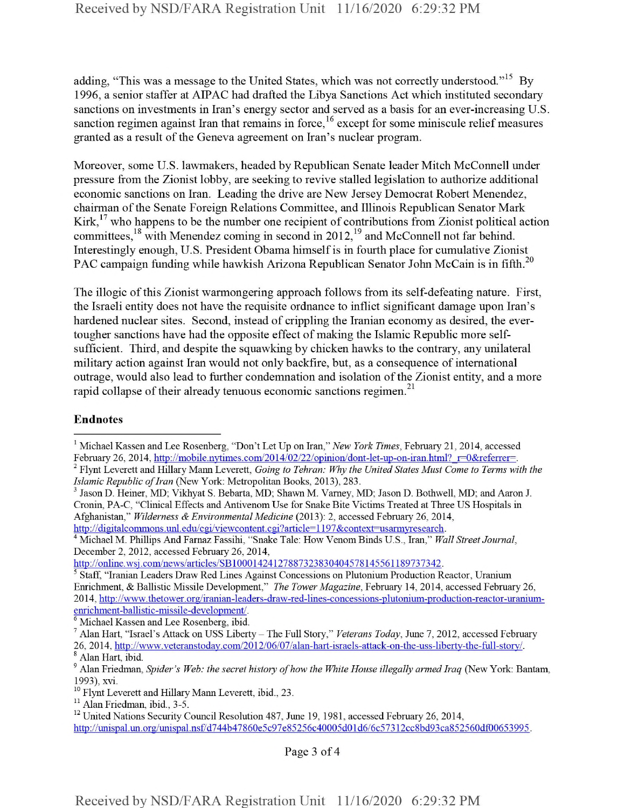adding, "This was a message to the United States, which was not correctly understood."<sup>15</sup> By 1996, a senior staffer at AIPAC had drafted the Libya Sanctions Act which instituted secondary sanctions on investments in Iran's energy sector and served as a basis for an ever-increasing U.S. sanction regimen against Iran that remains in force,<sup>16</sup> except for some miniscule relief measures granted as a result of the Geneva agreement on Iran's nuclear program.

Moreover, some U.S. lawmakers, headed by Republican Senate leader Mitch McConnell under pressure from the Zionist lobby, are seeking to revive stalled legislation to authorize additional economic sanctions on Iran. Leading the drive are New Jersey Democrat Robert Menendez, chairman of the Senate Foreign Relations Committee, and Illinois Republican Senator Mark Kirk,  $17$  who happens to be the number one recipient of contributions from Zionist political action committees  $18$  with Menendez coming in second in 2012  $19$  and McConnell not far behind. Interestingly enough, U.S. President Obama himself is in fourth place for cumulative Zionist PAC campaign funding while hawkish Arizona Republican Senator John McCain is in fifth.<sup>20</sup>

The illogic of this Zionist warmongering approach follows from its self-defeating nature. First, the Israeli entity does not have the requisite ordnance to inflict significant damage upon Iran's hardened nuclear sites. Second, instead of crippling the Iranian economy as desired, the evertougher sanctions have had the opposite effect of making the Islamic Republic more selfsufficient. Third, and despite the squawking by chicken hawks to the contrary, any unilateral military action against Iran would not only backfire, but, as a consequence ofinternational outrage, would also lead to further condemnation and isolation of the Zionist entity, and a more rapid collapse of their already tenuous economic sanctions regimen. $^{21}$ 

## **Endnotes**

1 Michael Kassen and Lee Rosenberg, "Don't Let Up on Iran," *New York Times,* February 21, 2014, accessed February 26, 2014, http://mobile.nytimes.com/2014/02/22/opinion/dont-let-up-on-iran.html? r=0&referrer=.

4 Michael M. Phillips And Farnaz Fassihi, "Snake Tale: How Venom Binds U.S., Iran," *Wall Street Journal,* December 2, 2012, accessed February 26, 2014,

http://online.wsj.com/news/articles/SB10001424127887323830404578145561189737342.

<sup>6</sup> Michael Kassen and Lee Rosenberg, ibid.

Page 3 of 4

<sup>2</sup> Flynt Leverett and Hillary Mann Leverett, *Going to Tehran: Why the United States Must Come to Terms with the Islamic Republic of Iran* (New York: Metropolitan Books, 2013), 283.

<sup>3</sup> Jason D. Heiner, MD: Vikhyat S. Bebarta, MD; Shawn M. Varney, MD: Jason D. Bothwell, MD; and Aaron J. Cronin, PA-C, "Clinical Effects and Antivenom Use for Snake Bite Victims Treated at Three US Hospitals in Afghanistan," *Wilderness & Environmental Medicine* (2013): 2, accessed February 26, 2014, http://digitalcommons.unl.edu/cgi/viewcontent.cgi?article=1197&context=usarmyresearch.

<sup>5</sup> Staff, "Iranian Leaders Draw Red Lines Against Concessions on Plutonium Production Reactor, Uranium Enrichment, & Ballistic Missile Development," *The Tower Magazine,* February 14, 2014, accessed February 26, 2014, http://www.thetower.org/iranian-leaders-draw-red-lines-concessions-plutonium-production-reactor-uraniumenrichment-balhstic-missile-development/.

<sup>7</sup> Alan Hart, "Israel's Attack on USS Liberty - The Full Story," *Veterans Today,* June 7, 2012, accessed February 26, 2014, http://www.veteranstodav.com/2012/06/07/alan-hart-israels-attack-on-the-uss-libertv-the-full-storv/. <sup>8</sup> Alan Hart, ibid.

<sup>9</sup> Alan Friedman, *Spider's Web: the secret history ofhow the White House illegally armed Iraq* (New York: Bantam, 1993), xvi.

<sup>&</sup>lt;sup>10</sup> Flynt Leverett and Hillary Mann Leverett, ibid., 23.

<sup>&</sup>lt;sup>11</sup> Alan Friedman, ibid., 3-5.

<sup>&</sup>lt;sup>12</sup> United Nations Security Council Resolution 487, June 19, 1981, accessed February 26, 2014, http://unispal.un.org/unispal.nsf/d744b47860e5c97e85256c40005d01d6/6c57312cc8bd93ca852560df00653995.